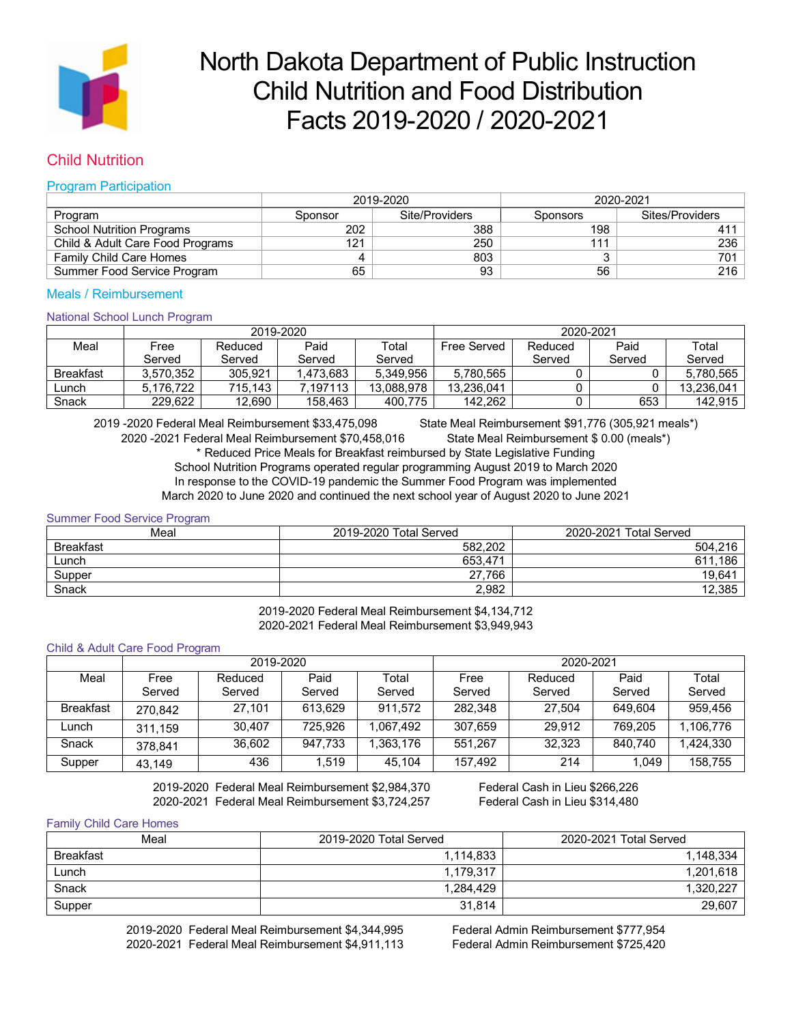

# North Dakota Department of Public Instruction Child Nutrition and Food Distribution Facts 2019-2020 / 2020-2021

# Child Nutrition

## Program Participation

|                                  |         | 2019-2020      | 2020-2021       |                 |  |
|----------------------------------|---------|----------------|-----------------|-----------------|--|
| Program                          | Sponsor | Site/Providers | <b>Sponsors</b> | Sites/Providers |  |
| <b>School Nutrition Programs</b> | 202     | 388            | 198             | 411             |  |
| Child & Adult Care Food Programs | 121     | 250            | 111             | 236             |  |
| <b>Family Child Care Homes</b>   |         | 803            |                 | 701             |  |
| Summer Food Service Program      | 65      | 93             | 56              | 216             |  |

# Meals / Reimbursement

### National School Lunch Program

|                  | 2019-2020 |         |          | 2020-2021  |             |         |        |            |
|------------------|-----------|---------|----------|------------|-------------|---------|--------|------------|
| Meal             | Free      | Reduced | Paid     | Total      | Free Served | Reduced | Paid   | Total      |
|                  | Served    | Served  | Served   | Served     |             | Served  | Served | Served     |
| <b>Breakfast</b> | 3.570.352 | 305.921 | .473.683 | 5.349.956  | 5.780.565   |         |        | 5.780.565  |
| Lunch            | 5.176.722 | 715.143 | .197113  | 13.088.978 | 13.236.041  |         |        | 13.236.041 |
| Snack            | 229.622   | 12.690  | 158.463  | 400.775    | 142.262     |         | 653    | 142.915    |

2019 -2020 Federal Meal Reimbursement \$33,475,098 State Meal Reimbursement \$91,776 (305,921 meals\*) 2020 -2021 Federal Meal Reimbursement \$70,458,016 State Meal Reimbursement \$ 0.00 (meals\*) \* Reduced Price Meals for Breakfast reimbursed by State Legislative Funding School Nutrition Programs operated regular programming August 2019 to March 2020 In response to the COVID-19 pandemic the Summer Food Program was implemented March 2020 to June 2020 and continued the next school year of August 2020 to June 2021

Summer Food Service Program

| Meal             | 2019-2020 Total Served | 2020-2021<br><b>Total Served</b> |
|------------------|------------------------|----------------------------------|
| <b>Breakfast</b> | 582.202                | 504.216                          |
| Lunch            | 653,471                | 186<br>611                       |
| Supper           | 27,766                 | 19,641                           |
| Snack            | 2.982                  | 12.385                           |

2019-2020 Federal Meal Reimbursement \$4,134,712 2020-2021 Federal Meal Reimbursement \$3,949,943

#### Child & Adult Care Food Program

|                  | 2019-2020 |         |         | 2020-2021 |         |         |         |           |
|------------------|-----------|---------|---------|-----------|---------|---------|---------|-----------|
| Meal             | Free      | Reduced | Paid    | Total     | Free    | Reduced | Paid    | Total     |
|                  | Served    | Served  | Served  | Served    | Served  | Served  | Served  | Served    |
| <b>Breakfast</b> | 270.842   | 27,101  | 613.629 | 911,572   | 282.348 | 27.504  | 649.604 | 959.456   |
| Lunch            | 311.159   | 30.407  | 725.926 | 1.067.492 | 307.659 | 29.912  | 769.205 | 1.106.776 |
| Snack            | 378.841   | 36,602  | 947.733 | 1.363.176 | 551.267 | 32.323  | 840.740 | 1.424.330 |
| Supper           | 43.149    | 436     | 1,519   | 45.104    | 157,492 | 214     | 1,049   | 158.755   |

2019-2020 Federal Meal Reimbursement \$2,984,370 Federal Cash in Lieu \$266,226 2020-2021 Federal Meal Reimbursement \$3,724,257 Federal Cash in Lieu \$314,480

#### Family Child Care Homes

| Meal             | 2019-2020 Total Served | 2020-2021 Total Served |  |
|------------------|------------------------|------------------------|--|
| <b>Breakfast</b> | 1,114,833              | 1,148,334              |  |
| Lunch            | 1,179,317              | 1,201,618              |  |
| Snack            | 1.284.429              | 1,320,227              |  |
| Supper           | 31,814                 | 29,607                 |  |

2019-2020 Federal Meal Reimbursement \$4,344,995 Federal Admin Reimbursement \$777,954 2020-2021 Federal Meal Reimbursement \$4,911,113 Federal Admin Reimbursement \$725,420